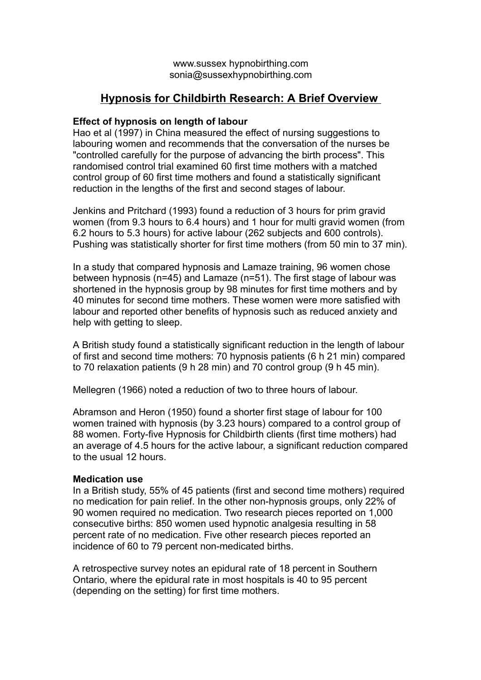# **Hypnosis for Childbirth Research: A Brief Overview**

# **Effect of hypnosis on length of labour**

Hao et al (1997) in China measured the effect of nursing suggestions to labouring women and recommends that the conversation of the nurses be "controlled carefully for the purpose of advancing the birth process". This randomised control trial examined 60 first time mothers with a matched control group of 60 first time mothers and found a statistically significant reduction in the lengths of the first and second stages of labour.

Jenkins and Pritchard (1993) found a reduction of 3 hours for prim gravid women (from 9.3 hours to 6.4 hours) and 1 hour for multi gravid women (from 6.2 hours to 5.3 hours) for active labour (262 subjects and 600 controls). Pushing was statistically shorter for first time mothers (from 50 min to 37 min).

In a study that compared hypnosis and Lamaze training, 96 women chose between hypnosis (n=45) and Lamaze (n=51). The first stage of labour was shortened in the hypnosis group by 98 minutes for first time mothers and by 40 minutes for second time mothers. These women were more satisfied with labour and reported other benefits of hypnosis such as reduced anxiety and help with getting to sleep.

A British study found a statistically significant reduction in the length of labour of first and second time mothers: 70 hypnosis patients (6 h 21 min) compared to 70 relaxation patients (9 h 28 min) and 70 control group (9 h 45 min).

Mellegren (1966) noted a reduction of two to three hours of labour.

Abramson and Heron (1950) found a shorter first stage of labour for 100 women trained with hypnosis (by 3.23 hours) compared to a control group of 88 women. Forty-five Hypnosis for Childbirth clients (first time mothers) had an average of 4.5 hours for the active labour, a significant reduction compared to the usual 12 hours.

## **Medication use**

In a British study, 55% of 45 patients (first and second time mothers) required no medication for pain relief. In the other non-hypnosis groups, only 22% of 90 women required no medication. Two research pieces reported on 1,000 consecutive births: 850 women used hypnotic analgesia resulting in 58 percent rate of no medication. Five other research pieces reported an incidence of 60 to 79 percent non-medicated births.

A retrospective survey notes an epidural rate of 18 percent in Southern Ontario, where the epidural rate in most hospitals is 40 to 95 percent (depending on the setting) for first time mothers.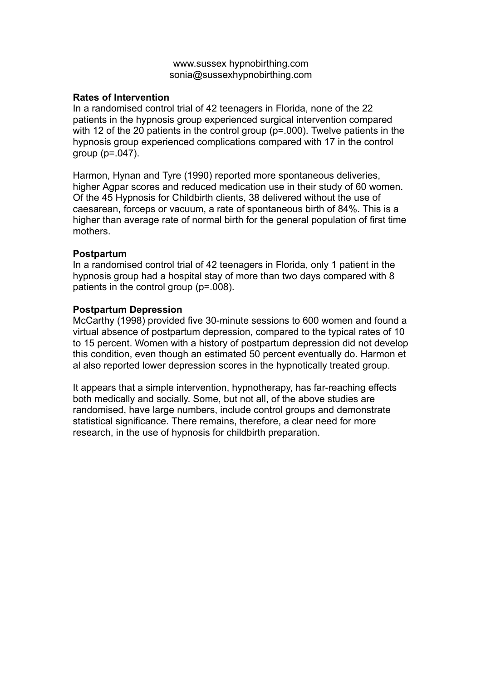## **Rates of Intervention**

In a randomised control trial of 42 teenagers in Florida, none of the 22 patients in the hypnosis group experienced surgical intervention compared with 12 of the 20 patients in the control group (p=.000). Twelve patients in the hypnosis group experienced complications compared with 17 in the control group (p=.047).

Harmon, Hynan and Tyre (1990) reported more spontaneous deliveries, higher Agpar scores and reduced medication use in their study of 60 women. Of the 45 Hypnosis for Childbirth clients, 38 delivered without the use of caesarean, forceps or vacuum, a rate of spontaneous birth of 84%. This is a higher than average rate of normal birth for the general population of first time mothers.

## **Postpartum**

In a randomised control trial of 42 teenagers in Florida, only 1 patient in the hypnosis group had a hospital stay of more than two days compared with 8 patients in the control group (p=.008).

## **Postpartum Depression**

McCarthy (1998) provided five 30-minute sessions to 600 women and found a virtual absence of postpartum depression, compared to the typical rates of 10 to 15 percent. Women with a history of postpartum depression did not develop this condition, even though an estimated 50 percent eventually do. Harmon et al also reported lower depression scores in the hypnotically treated group.

It appears that a simple intervention, hypnotherapy, has far-reaching effects both medically and socially. Some, but not all, of the above studies are randomised, have large numbers, include control groups and demonstrate statistical significance. There remains, therefore, a clear need for more research, in the use of hypnosis for childbirth preparation.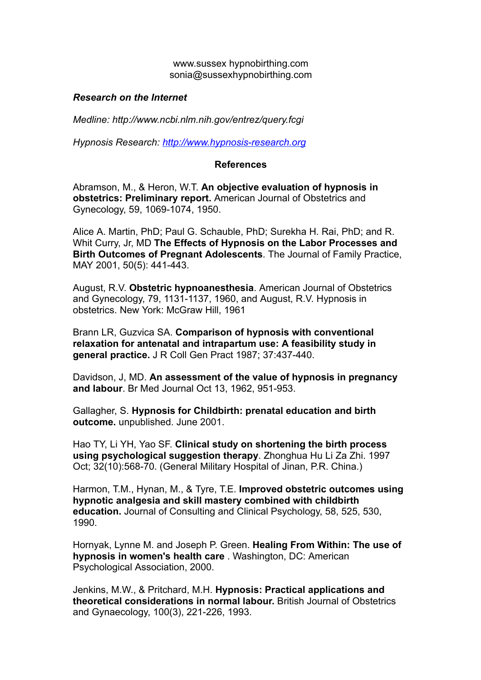### *Research on the Internet*

*Medline: http://www.ncbi.nlm.nih.gov/entrez/query.fcgi*

*Hypnosis Research: http://www.hypnosis-research.org*

#### **References**

Abramson, M., & Heron, W.T. **An objective evaluation of hypnosis in obstetrics: Preliminary report.** American Journal of Obstetrics and Gynecology, 59, 1069-1074, 1950.

Alice A. Martin, PhD; Paul G. Schauble, PhD; Surekha H. Rai, PhD; and R. Whit Curry, Jr, MD **The Effects of Hypnosis on the Labor Processes and Birth Outcomes of Pregnant Adolescents**. The Journal of Family Practice, MAY 2001, 50(5): 441-443.

August, R.V. **Obstetric hypnoanesthesia**. American Journal of Obstetrics and Gynecology, 79, 1131-1137, 1960, and August, R.V. Hypnosis in obstetrics. New York: McGraw Hill, 1961

Brann LR, Guzvica SA. **Comparison of hypnosis with conventional relaxation for antenatal and intrapartum use: A feasibility study in general practice.** J R Coll Gen Pract 1987; 37:437-440.

Davidson, J, MD. **An assessment of the value of hypnosis in pregnancy and labour**. Br Med Journal Oct 13, 1962, 951-953.

Gallagher, S. **Hypnosis for Childbirth: prenatal education and birth outcome.** unpublished. June 2001.

Hao TY, Li YH, Yao SF. **Clinical study on shortening the birth process using psychological suggestion therapy**. Zhonghua Hu Li Za Zhi. 1997 Oct; 32(10):568-70. (General Military Hospital of Jinan, P.R. China.)

Harmon, T.M., Hynan, M., & Tyre, T.E. **Improved obstetric outcomes using hypnotic analgesia and skill mastery combined with childbirth education.** Journal of Consulting and Clinical Psychology, 58, 525, 530, 1990.

Hornyak, Lynne M. and Joseph P. Green. **Healing From Within: The use of hypnosis in women's health care** . Washington, DC: American Psychological Association, 2000.

Jenkins, M.W., & Pritchard, M.H. **Hypnosis: Practical applications and theoretical considerations in normal labour.** British Journal of Obstetrics and Gynaecology, 100(3), 221-226, 1993.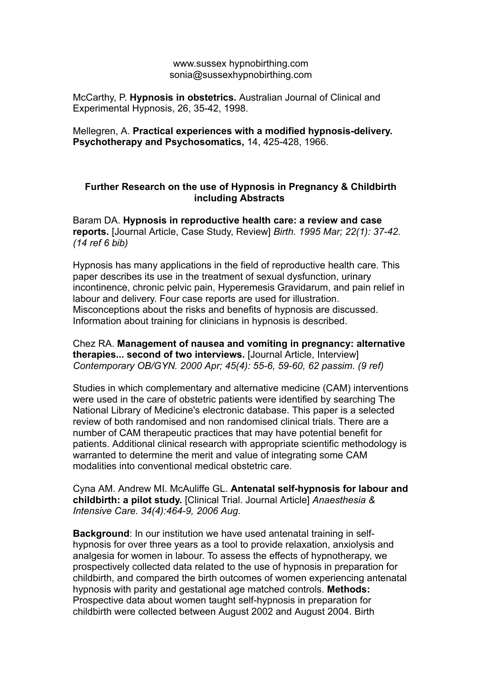McCarthy, P. **Hypnosis in obstetrics.** Australian Journal of Clinical and Experimental Hypnosis, 26, 35-42, 1998.

Mellegren, A. **Practical experiences with a modified hypnosis-delivery. Psychotherapy and Psychosomatics,** 14, 425-428, 1966.

# **Further Research on the use of Hypnosis in Pregnancy & Childbirth including Abstracts**

Baram DA. **Hypnosis in reproductive health care: a review and case reports.** [Journal Article, Case Study, Review] *Birth. 1995 Mar; 22(1): 37-42. (14 ref 6 bib)*

Hypnosis has many applications in the field of reproductive health care. This paper describes its use in the treatment of sexual dysfunction, urinary incontinence, chronic pelvic pain, Hyperemesis Gravidarum, and pain relief in labour and delivery. Four case reports are used for illustration. Misconceptions about the risks and benefits of hypnosis are discussed. Information about training for clinicians in hypnosis is described.

Chez RA. **Management of nausea and vomiting in pregnancy: alternative therapies... second of two interviews.** [Journal Article, Interview] *Contemporary OB/GYN. 2000 Apr; 45(4): 55-6, 59-60, 62 passim. (9 ref)*

Studies in which complementary and alternative medicine (CAM) interventions were used in the care of obstetric patients were identified by searching The National Library of Medicine's electronic database. This paper is a selected review of both randomised and non randomised clinical trials. There are a number of CAM therapeutic practices that may have potential benefit for patients. Additional clinical research with appropriate scientific methodology is warranted to determine the merit and value of integrating some CAM modalities into conventional medical obstetric care.

Cyna AM. Andrew MI. McAuliffe GL. **Antenatal self-hypnosis for labour and childbirth: a pilot study.** [Clinical Trial. Journal Article] *Anaesthesia & Intensive Care. 34(4):464-9, 2006 Aug.*

**Background**: In our institution we have used antenatal training in selfhypnosis for over three years as a tool to provide relaxation, anxiolysis and analgesia for women in labour. To assess the effects of hypnotherapy, we prospectively collected data related to the use of hypnosis in preparation for childbirth, and compared the birth outcomes of women experiencing antenatal hypnosis with parity and gestational age matched controls. **Methods:** Prospective data about women taught self-hypnosis in preparation for childbirth were collected between August 2002 and August 2004. Birth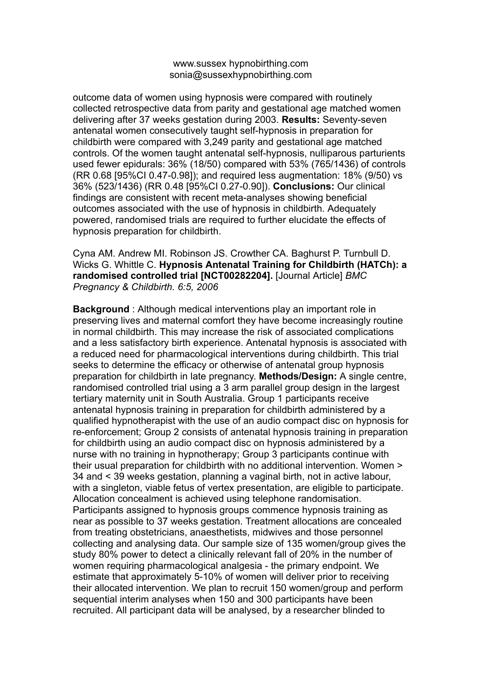outcome data of women using hypnosis were compared with routinely collected retrospective data from parity and gestational age matched women delivering after 37 weeks gestation during 2003. **Results:** Seventy-seven antenatal women consecutively taught self-hypnosis in preparation for childbirth were compared with 3,249 parity and gestational age matched controls. Of the women taught antenatal self-hypnosis, nulliparous parturients used fewer epidurals: 36% (18/50) compared with 53% (765/1436) of controls (RR 0.68 [95%CI 0.47-0.98]); and required less augmentation: 18% (9/50) vs 36% (523/1436) (RR 0.48 [95%CI 0.27-0.90]). **Conclusions:** Our clinical findings are consistent with recent meta-analyses showing beneficial outcomes associated with the use of hypnosis in childbirth. Adequately powered, randomised trials are required to further elucidate the effects of hypnosis preparation for childbirth.

## Cyna AM. Andrew MI. Robinson JS. Crowther CA. Baghurst P. Turnbull D. Wicks G. Whittle C. **Hypnosis Antenatal Training for Childbirth (HATCh): a randomised controlled trial [NCT00282204].** [Journal Article] *BMC Pregnancy & Childbirth. 6:5, 2006*

**Background** : Although medical interventions play an important role in preserving lives and maternal comfort they have become increasingly routine in normal childbirth. This may increase the risk of associated complications and a less satisfactory birth experience. Antenatal hypnosis is associated with a reduced need for pharmacological interventions during childbirth. This trial seeks to determine the efficacy or otherwise of antenatal group hypnosis preparation for childbirth in late pregnancy. **Methods/Design:** A single centre, randomised controlled trial using a 3 arm parallel group design in the largest tertiary maternity unit in South Australia. Group 1 participants receive antenatal hypnosis training in preparation for childbirth administered by a qualified hypnotherapist with the use of an audio compact disc on hypnosis for re-enforcement; Group 2 consists of antenatal hypnosis training in preparation for childbirth using an audio compact disc on hypnosis administered by a nurse with no training in hypnotherapy; Group 3 participants continue with their usual preparation for childbirth with no additional intervention. Women > 34 and < 39 weeks gestation, planning a vaginal birth, not in active labour, with a singleton, viable fetus of vertex presentation, are eligible to participate. Allocation concealment is achieved using telephone randomisation. Participants assigned to hypnosis groups commence hypnosis training as near as possible to 37 weeks gestation. Treatment allocations are concealed from treating obstetricians, anaesthetists, midwives and those personnel collecting and analysing data. Our sample size of 135 women/group gives the study 80% power to detect a clinically relevant fall of 20% in the number of women requiring pharmacological analgesia - the primary endpoint. We estimate that approximately 5-10% of women will deliver prior to receiving their allocated intervention. We plan to recruit 150 women/group and perform sequential interim analyses when 150 and 300 participants have been recruited. All participant data will be analysed, by a researcher blinded to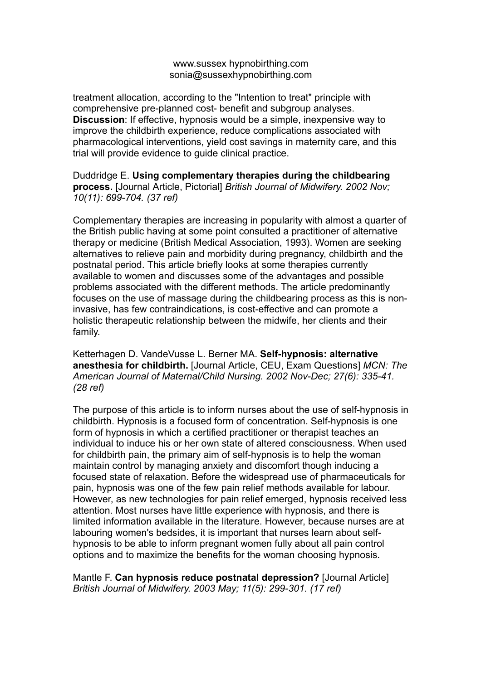treatment allocation, according to the "Intention to treat" principle with comprehensive pre-planned cost- benefit and subgroup analyses. **Discussion**: If effective, hypnosis would be a simple, inexpensive way to improve the childbirth experience, reduce complications associated with pharmacological interventions, yield cost savings in maternity care, and this trial will provide evidence to guide clinical practice.

Duddridge E. **Using complementary therapies during the childbearing process.** [Journal Article, Pictorial] *British Journal of Midwifery. 2002 Nov; 10(11): 699-704. (37 ref)*

Complementary therapies are increasing in popularity with almost a quarter of the British public having at some point consulted a practitioner of alternative therapy or medicine (British Medical Association, 1993). Women are seeking alternatives to relieve pain and morbidity during pregnancy, childbirth and the postnatal period. This article briefly looks at some therapies currently available to women and discusses some of the advantages and possible problems associated with the different methods. The article predominantly focuses on the use of massage during the childbearing process as this is noninvasive, has few contraindications, is cost-effective and can promote a holistic therapeutic relationship between the midwife, her clients and their family.

Ketterhagen D. VandeVusse L. Berner MA. **Self-hypnosis: alternative anesthesia for childbirth.** [Journal Article, CEU, Exam Questions] *MCN: The American Journal of Maternal/Child Nursing. 2002 Nov-Dec; 27(6): 335-41. (28 ref)*

The purpose of this article is to inform nurses about the use of self-hypnosis in childbirth. Hypnosis is a focused form of concentration. Self-hypnosis is one form of hypnosis in which a certified practitioner or therapist teaches an individual to induce his or her own state of altered consciousness. When used for childbirth pain, the primary aim of self-hypnosis is to help the woman maintain control by managing anxiety and discomfort though inducing a focused state of relaxation. Before the widespread use of pharmaceuticals for pain, hypnosis was one of the few pain relief methods available for labour. However, as new technologies for pain relief emerged, hypnosis received less attention. Most nurses have little experience with hypnosis, and there is limited information available in the literature. However, because nurses are at labouring women's bedsides, it is important that nurses learn about selfhypnosis to be able to inform pregnant women fully about all pain control options and to maximize the benefits for the woman choosing hypnosis.

Mantle F. **Can hypnosis reduce postnatal depression?** [Journal Article] *British Journal of Midwifery. 2003 May; 11(5): 299-301. (17 ref)*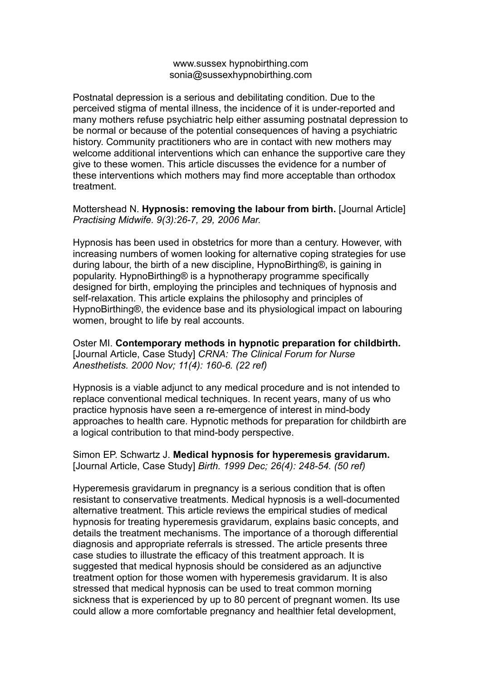Postnatal depression is a serious and debilitating condition. Due to the perceived stigma of mental illness, the incidence of it is under-reported and many mothers refuse psychiatric help either assuming postnatal depression to be normal or because of the potential consequences of having a psychiatric history. Community practitioners who are in contact with new mothers may welcome additional interventions which can enhance the supportive care they give to these women. This article discusses the evidence for a number of these interventions which mothers may find more acceptable than orthodox treatment.

Mottershead N. **Hypnosis: removing the labour from birth.** [Journal Article] *Practising Midwife. 9(3):26-7, 29, 2006 Mar.*

Hypnosis has been used in obstetrics for more than a century. However, with increasing numbers of women looking for alternative coping strategies for use during labour, the birth of a new discipline, HypnoBirthing®, is gaining in popularity. HypnoBirthing® is a hypnotherapy programme specifically designed for birth, employing the principles and techniques of hypnosis and self-relaxation. This article explains the philosophy and principles of HypnoBirthing®, the evidence base and its physiological impact on labouring women, brought to life by real accounts.

Oster MI. **Contemporary methods in hypnotic preparation for childbirth.** [Journal Article, Case Study] *CRNA: The Clinical Forum for Nurse Anesthetists. 2000 Nov; 11(4): 160-6. (22 ref)*

Hypnosis is a viable adjunct to any medical procedure and is not intended to replace conventional medical techniques. In recent years, many of us who practice hypnosis have seen a re-emergence of interest in mind-body approaches to health care. Hypnotic methods for preparation for childbirth are a logical contribution to that mind-body perspective.

Simon EP. Schwartz J. **Medical hypnosis for hyperemesis gravidarum.** [Journal Article, Case Study] *Birth. 1999 Dec; 26(4): 248-54. (50 ref)*

Hyperemesis gravidarum in pregnancy is a serious condition that is often resistant to conservative treatments. Medical hypnosis is a well-documented alternative treatment. This article reviews the empirical studies of medical hypnosis for treating hyperemesis gravidarum, explains basic concepts, and details the treatment mechanisms. The importance of a thorough differential diagnosis and appropriate referrals is stressed. The article presents three case studies to illustrate the efficacy of this treatment approach. It is suggested that medical hypnosis should be considered as an adjunctive treatment option for those women with hyperemesis gravidarum. It is also stressed that medical hypnosis can be used to treat common morning sickness that is experienced by up to 80 percent of pregnant women. Its use could allow a more comfortable pregnancy and healthier fetal development,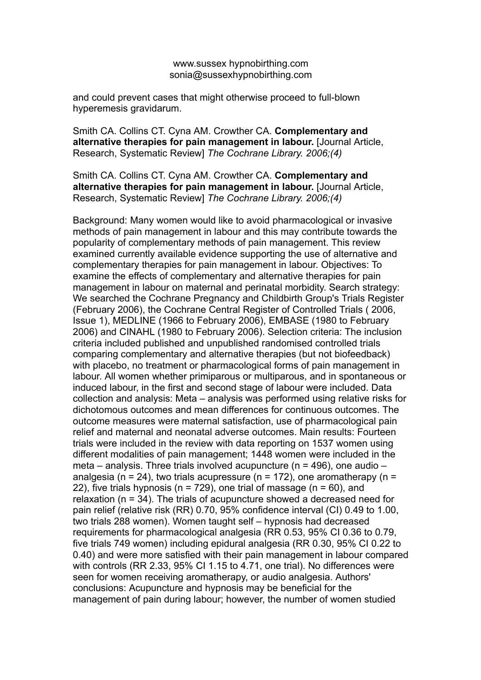and could prevent cases that might otherwise proceed to full-blown hyperemesis gravidarum.

Smith CA. Collins CT. Cyna AM. Crowther CA. **Complementary and alternative therapies for pain management in labour.** [Journal Article, Research, Systematic Review] *The Cochrane Library. 2006;(4)*

Smith CA. Collins CT. Cyna AM. Crowther CA. **Complementary and alternative therapies for pain management in labour.** [Journal Article, Research, Systematic Review] *The Cochrane Library. 2006;(4)*

Background: Many women would like to avoid pharmacological or invasive methods of pain management in labour and this may contribute towards the popularity of complementary methods of pain management. This review examined currently available evidence supporting the use of alternative and complementary therapies for pain management in labour. Objectives: To examine the effects of complementary and alternative therapies for pain management in labour on maternal and perinatal morbidity. Search strategy: We searched the Cochrane Pregnancy and Childbirth Group's Trials Register (February 2006), the Cochrane Central Register of Controlled Trials ( 2006, Issue 1), MEDLINE (1966 to February 2006), EMBASE (1980 to February 2006) and CINAHL (1980 to February 2006). Selection criteria: The inclusion criteria included published and unpublished randomised controlled trials comparing complementary and alternative therapies (but not biofeedback) with placebo, no treatment or pharmacological forms of pain management in labour. All women whether primiparous or multiparous, and in spontaneous or induced labour, in the first and second stage of labour were included. Data collection and analysis: Meta – analysis was performed using relative risks for dichotomous outcomes and mean differences for continuous outcomes. The outcome measures were maternal satisfaction, use of pharmacological pain relief and maternal and neonatal adverse outcomes. Main results: Fourteen trials were included in the review with data reporting on 1537 women using different modalities of pain management; 1448 women were included in the meta – analysis. Three trials involved acupuncture (n = 496), one audio – analgesia (n = 24), two trials acupressure (n = 172), one aromatherapy (n = 22), five trials hypnosis ( $n = 729$ ), one trial of massage ( $n = 60$ ), and relaxation (n = 34). The trials of acupuncture showed a decreased need for pain relief (relative risk (RR) 0.70, 95% confidence interval (CI) 0.49 to 1.00, two trials 288 women). Women taught self – hypnosis had decreased requirements for pharmacological analgesia (RR 0.53, 95% CI 0.36 to 0.79, five trials 749 women) including epidural analgesia (RR 0.30, 95% CI 0.22 to 0.40) and were more satisfied with their pain management in labour compared with controls (RR 2.33, 95% CI 1.15 to 4.71, one trial). No differences were seen for women receiving aromatherapy, or audio analgesia. Authors' conclusions: Acupuncture and hypnosis may be beneficial for the management of pain during labour; however, the number of women studied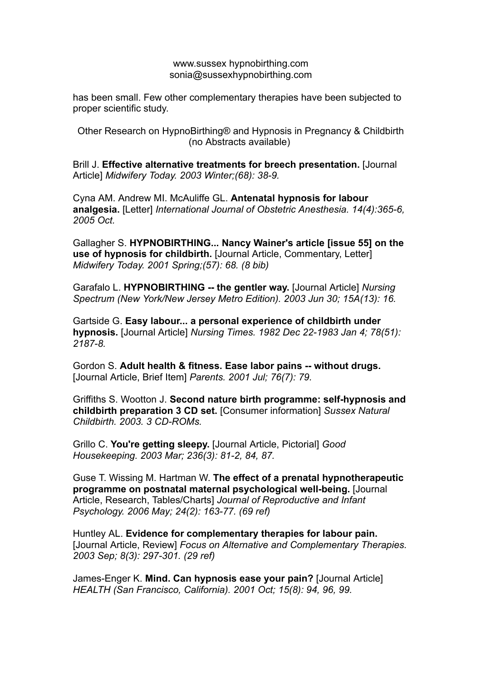has been small. Few other complementary therapies have been subjected to proper scientific study.

Other Research on HypnoBirthing® and Hypnosis in Pregnancy & Childbirth (no Abstracts available)

Brill J. **Effective alternative treatments for breech presentation.** [Journal Article] *Midwifery Today. 2003 Winter;(68): 38-9.*

Cyna AM. Andrew MI. McAuliffe GL. **Antenatal hypnosis for labour analgesia.** [Letter] *International Journal of Obstetric Anesthesia. 14(4):365-6, 2005 Oct.*

Gallagher S. **HYPNOBIRTHING... Nancy Wainer's article [issue 55] on the use of hypnosis for childbirth.** [Journal Article, Commentary, Letter] *Midwifery Today. 2001 Spring;(57): 68. (8 bib)*

Garafalo L. **HYPNOBIRTHING -- the gentler way.** [Journal Article] *Nursing Spectrum (New York/New Jersey Metro Edition). 2003 Jun 30; 15A(13): 16.*

Gartside G. **Easy labour... a personal experience of childbirth under hypnosis.** [Journal Article] *Nursing Times. 1982 Dec 22-1983 Jan 4; 78(51): 2187-8.*

Gordon S. **Adult health & fitness. Ease labor pains -- without drugs.** [Journal Article, Brief Item] *Parents. 2001 Jul; 76(7): 79.*

Griffiths S. Wootton J. **Second nature birth programme: self-hypnosis and childbirth preparation 3 CD set.** [Consumer information] *Sussex Natural Childbirth. 2003. 3 CD-ROMs.*

Grillo C. **You're getting sleepy.** [Journal Article, Pictorial] *Good Housekeeping. 2003 Mar; 236(3): 81-2, 84, 87.*

Guse T. Wissing M. Hartman W. **The effect of a prenatal hypnotherapeutic programme on postnatal maternal psychological well-being.** [Journal Article, Research, Tables/Charts] *Journal of Reproductive and Infant Psychology. 2006 May; 24(2): 163-77. (69 ref)*

Huntley AL. **Evidence for complementary therapies for labour pain.** [Journal Article, Review] *Focus on Alternative and Complementary Therapies. 2003 Sep; 8(3): 297-301. (29 ref)*

James-Enger K. **Mind. Can hypnosis ease your pain?** [Journal Article] *HEALTH (San Francisco, California). 2001 Oct; 15(8): 94, 96, 99.*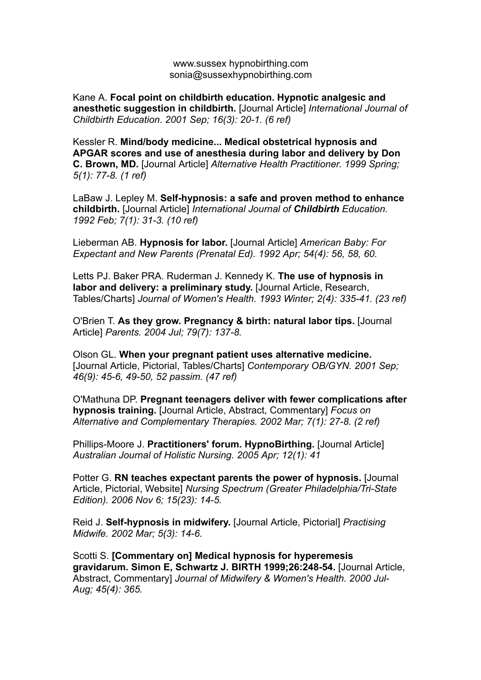Kane A. **Focal point on childbirth education. Hypnotic analgesic and anesthetic suggestion in childbirth.** [Journal Article] *International Journal of Childbirth Education. 2001 Sep; 16(3): 20-1. (6 ref)*

Kessler R. **Mind/body medicine... Medical obstetrical hypnosis and APGAR scores and use of anesthesia during labor and delivery by Don C. Brown, MD.** [Journal Article] *Alternative Health Practitioner. 1999 Spring; 5(1): 77-8. (1 ref)*

LaBaw J. Lepley M. **Self-hypnosis: a safe and proven method to enhance childbirth.** [Journal Article] *International Journal of Childbirth Education. 1992 Feb; 7(1): 31-3. (10 ref)*

Lieberman AB. **Hypnosis for labor.** [Journal Article] *American Baby: For Expectant and New Parents (Prenatal Ed). 1992 Apr; 54(4): 56, 58, 60.*

Letts PJ. Baker PRA. Ruderman J. Kennedy K. **The use of hypnosis in labor and delivery: a preliminary study.** [Journal Article, Research, Tables/Charts] *Journal of Women's Health. 1993 Winter; 2(4): 335-41. (23 ref)*

O'Brien T. **As they grow. Pregnancy & birth: natural labor tips.** [Journal Article] *Parents. 2004 Jul; 79(7): 137-8.*

Olson GL. **When your pregnant patient uses alternative medicine.** [Journal Article, Pictorial, Tables/Charts] *Contemporary OB/GYN. 2001 Sep; 46(9): 45-6, 49-50, 52 passim. (47 ref)*

O'Mathuna DP. **Pregnant teenagers deliver with fewer complications after hypnosis training.** [Journal Article, Abstract, Commentary] *Focus on Alternative and Complementary Therapies. 2002 Mar; 7(1): 27-8. (2 ref)*

Phillips-Moore J. **Practitioners' forum. HypnoBirthing.** [Journal Article] *Australian Journal of Holistic Nursing. 2005 Apr; 12(1): 41*

Potter G. **RN teaches expectant parents the power of hypnosis.** [Journal Article, Pictorial, Website] *Nursing Spectrum (Greater Philadelphia/Tri-State Edition). 2006 Nov 6; 15(23): 14-5.*

Reid J. **Self-hypnosis in midwifery.** [Journal Article, Pictorial] *Practising Midwife. 2002 Mar; 5(3): 14-6.*

Scotti S. **[Commentary on] Medical hypnosis for hyperemesis gravidarum. Simon E, Schwartz J. BIRTH 1999;26:248-54.** [Journal Article, Abstract, Commentary] *Journal of Midwifery & Women's Health. 2000 Jul-Aug; 45(4): 365.*